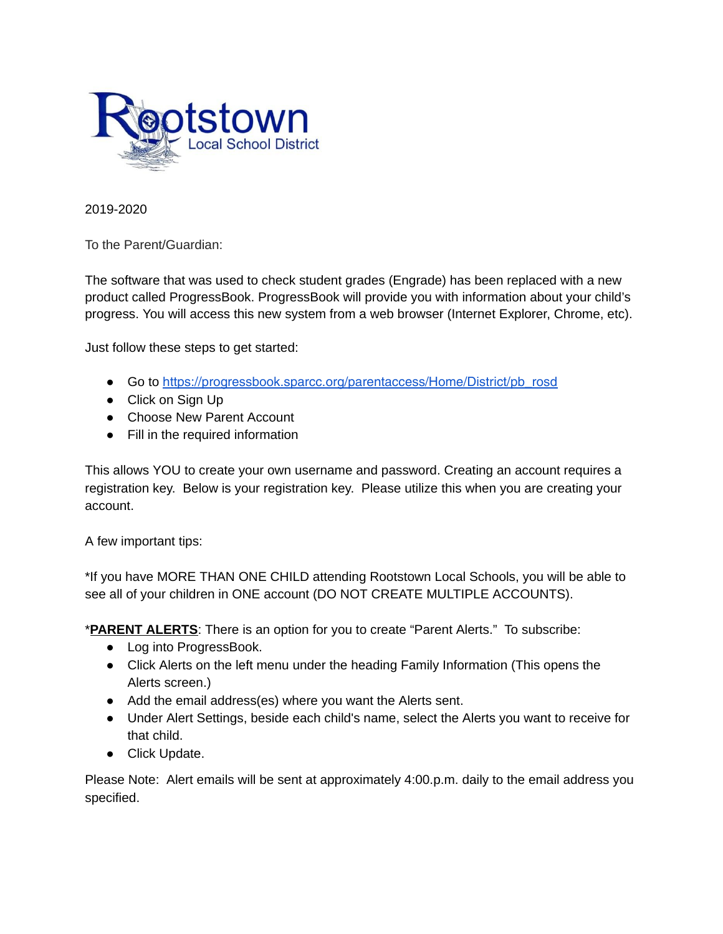

2019-2020

To the Parent/Guardian:

The software that was used to check student grades (Engrade) has been replaced with a new product called ProgressBook. ProgressBook will provide you with information about your child's progress. You will access this new system from a web browser (Internet Explorer, Chrome, etc).

Just follow these steps to get started:

- Go to [https://progressbook.sparcc.org/parentaccess/Home/District/pb\\_rosd](https://progressbook.sparcc.org/parentaccess/Home/District/pb_rosd)
- Click on Sign Up
- Choose New Parent Account
- Fill in the required information

This allows YOU to create your own username and password. Creating an account requires a registration key. Below is your registration key. Please utilize this when you are creating your account.

A few important tips:

\*If you have MORE THAN ONE CHILD attending Rootstown Local Schools, you will be able to see all of your children in ONE account (DO NOT CREATE MULTIPLE ACCOUNTS).

\***PARENT ALERTS**: There is an option for you to create "Parent Alerts." To subscribe:

- Log into ProgressBook.
- Click Alerts on the left menu under the heading Family Information (This opens the Alerts screen.)
- Add the email address(es) where you want the Alerts sent.
- Under Alert Settings, beside each child's name, select the Alerts you want to receive for that child.
- Click Update.

Please Note: Alert emails will be sent at approximately 4:00.p.m. daily to the email address you specified.